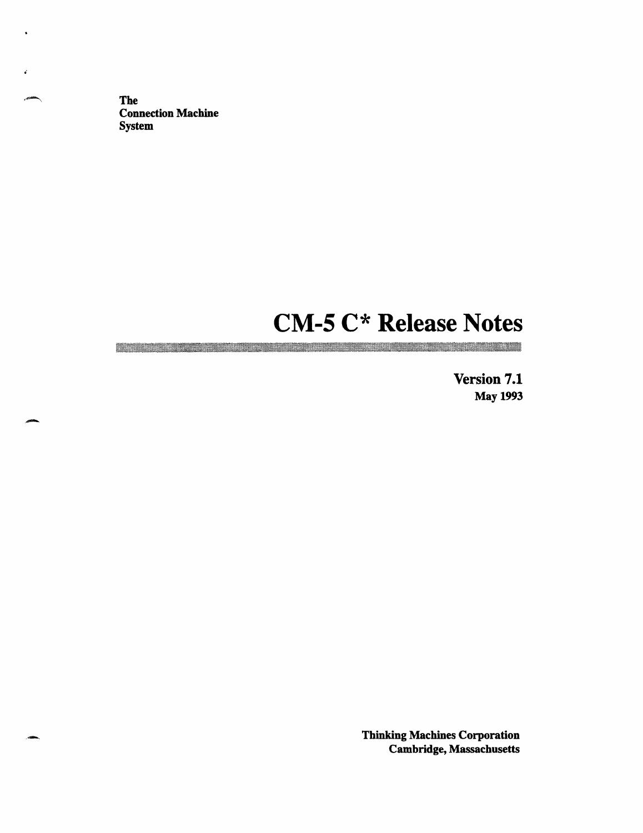The Connection Machine System

\_-

.\_

# **CM-5 C\* Release Notes**

**Version 7.1** May 1993

<u> Martin Martin San Barat (</u>

Thinking Machines Corporation Cambridge, Massachusetts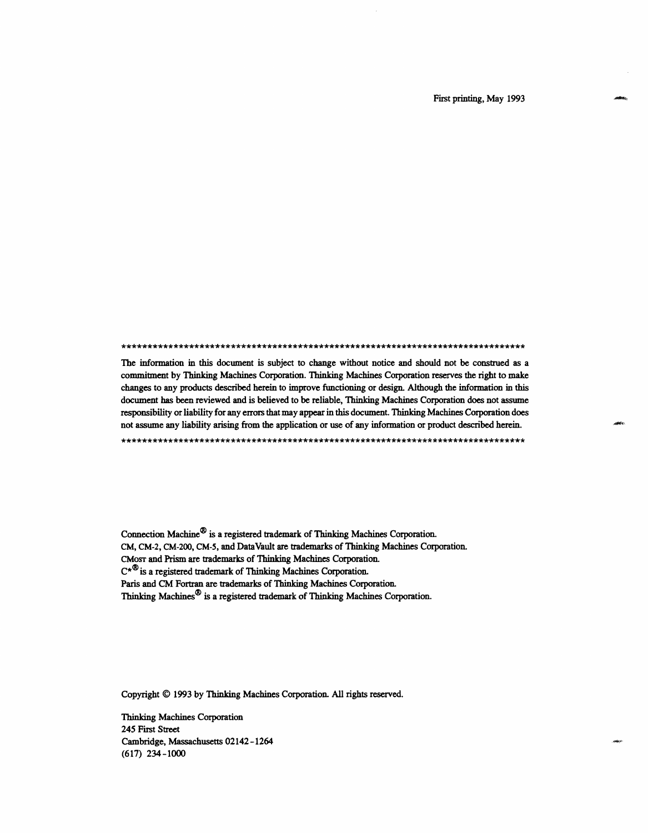First printing, May 1993

- .. . . . . . . . . . . . . . . . . . . . . . . . . . . . . . . . . . . . . . . . . . . . . . . . . . . . . . . . . . . . . . . . . . . . . . . . . .. I'. .

The information in this document is subject to change without notice and should not be construed as a commitment by Thinking Machines Corporation. Thinking Machines Corporation reserves the right to make changes to any products described herein to improve functioning or design. Although the information in this document has been reviewed and is believed to be reliable, Thinking Machines Corporation does not assume responsibility or liability for any errors that may appear in this document. Thinking Machines Corporation does not assume any liability arising from the application or use of any information or product described herein.

Connection Machine® is a registered trademark of Thinking Machines Corporation. CM, CM-2, CM-200, CM-5, and DataVault are trademarks of Thinking Machines Corporation. CMosr and Prism are trademarks of Thinking Machines Corporation.  $C^{\star\mathfrak{B}}$  is a registered trademark of Thinking Machines Corporation. Paris and CM Fortran are trademarks of Thinking Machines Corporation. Thinking Machines® is a registered trademark of Thinking Machines Corporation.

Copyright © 1993 by Thinking Machines Corporation. All rights reserved.

Thinking Machines Corporation 245 First Street Cambridge, Massachusetts 02142-1264 (617) 234-1000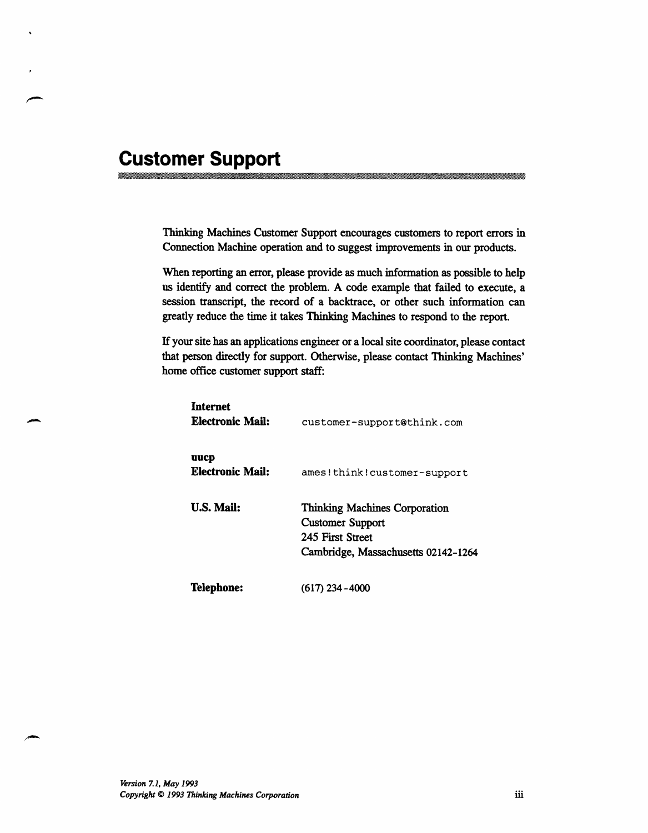# **Customer Support**<br><u>**Proportional contract of the contract of the contract of the contract of the contract of the contract of the contract of the contract of the contract of the contract of the contract of the contract of </u>**

Thinking Machines Customer Support encourages customers to report errors in Connection Machine operation and to suggest improvements in our products.

When reporting an error, please provide as much information as possible to help us identify and correct the problem. A code example that failed to execute, a session transcript, the record of a backtrace, or other such information can greatly reduce the time it takes Thinking Machines to respond to the report.

If your site has an applications engineer or a local site coordinator, please contact that person directly for support. Otherwise, please contact Thinking Machines' home office customer support staff:

| <b>Internet</b><br>Electronic Mail: | customer-support@think.com                                                                                                 |
|-------------------------------------|----------------------------------------------------------------------------------------------------------------------------|
| uucp<br>Electronic Mail:            | ames!think!customer-support                                                                                                |
| <b>U.S. Mail:</b>                   | <b>Thinking Machines Corporation</b><br><b>Customer Support</b><br>245 First Street<br>Cambridge, Massachusetts 02142-1264 |
| Telephone:                          | (617) 234–4000                                                                                                             |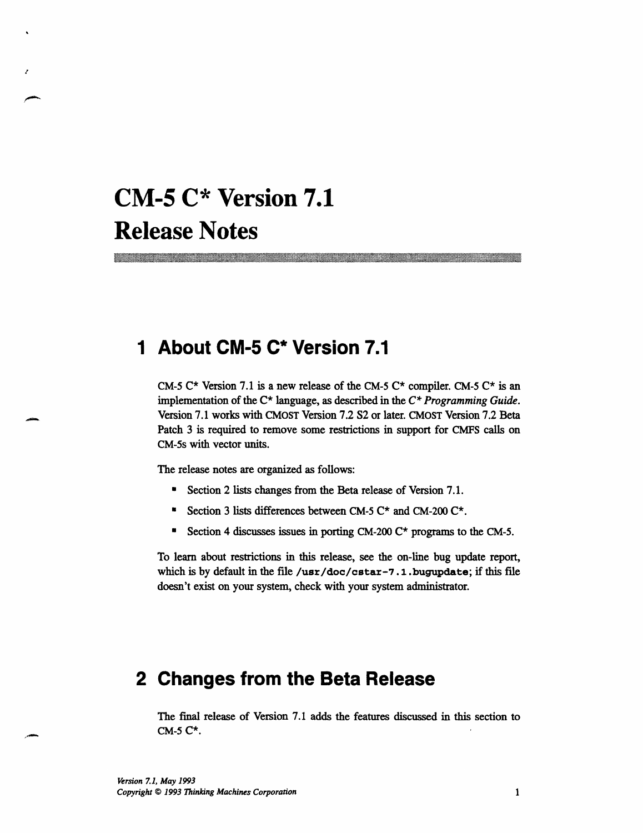# **CM-5 C\* Version 7.1 Release Notes**

<u>mana matang pang</u>

## **1 About CM-5 C\* Version 7.1**

CM-5  $C^*$  Version 7.1 is a new release of the CM-5  $C^*$  compiler. CM-5  $C^*$  is an implementation of the C\* language, as described in the *C\* Programming Guide.* Version 7.1 works with CMOST Version 7.2 S2 or later. CMOST Version 7.2 Beta Patch 3 is required to remove some restrictions in support for CMFS calls on CM-5s with vector units.

...

The release notes are organized as follows:

- \* Section 2 lists changes from the Beta release of Version 7.1.
- \* Section 3 lists differences between CM-5 C\* and CM-200 C\*.
- \* Section 4 discusses issues in porting CM-200  $C^*$  programs to the CM-5.

To learn about restrictions in this release, see the on-line bug update report, which is by default in the file **/usr/doc/cstar-7.1 .bugupdate;** if this file doesn't exist on your system, check with your system administrator.

### **2 Changes from the Beta Release**

The final release of Version 7.1 adds the features discussed in this section to CM-5 C\*.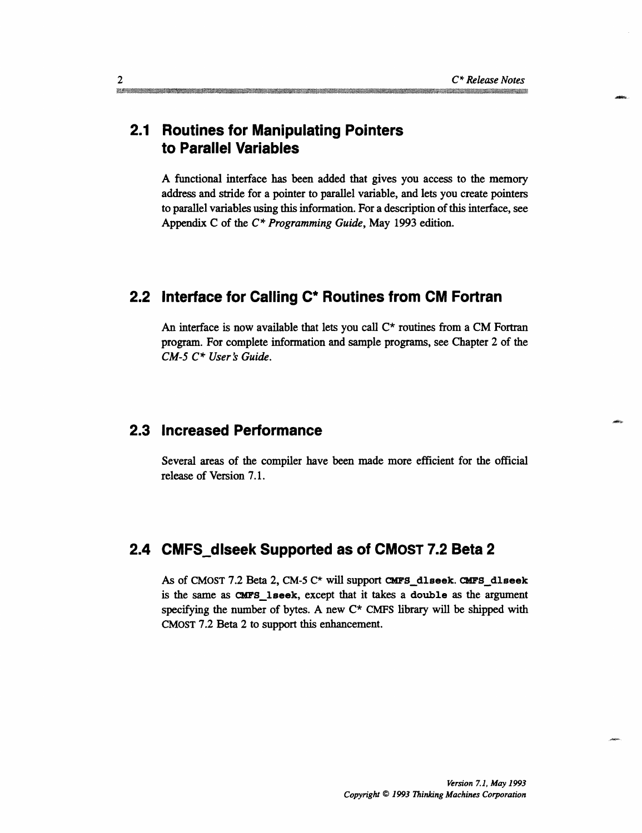#### **2.1 Routines for Manipulating Pointers to Parallel Variables**

A functional interface has been added that gives you access to the memory address and stride for a pointer to parallel variable, and lets you create pointers to parallel variables using this information. For a description of this interface, see Appendix C of the *C\* Programming Guide,* May 1993 edition.

#### **2.2 Interface for Calling C\* Routines from CM Fortran**

An interface is now available that lets you call  $C^*$  routines from a CM Fortran program. For complete information and sample programs, see Chapter 2 of the CM-5  $C^*$  User's Guide.

#### **2.3 Increased Performance**

Several areas of the compiler have been made more efficient for the official release of Version 7.1.

#### **2.4 CMFS\_dlseek Supported as of CMOST 7.2 Beta 2**

As of CMOST 7.2 Beta 2, CM-5 C\* will support **CMFS\_dlseek. CMFS\_dlseek** is the same as CMFS\_lseek, except that it takes a double as the argument specifying the number of bytes. A new  $C^*$  CMFS library will be shipped with CMOST 7.2 Beta 2 to support this enhancement.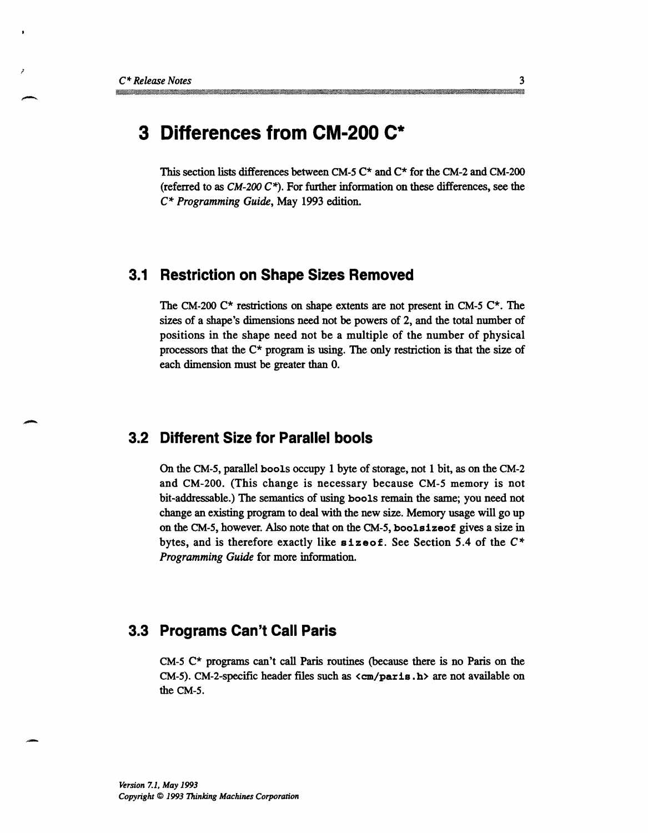## **3 Differences from CM-200 C\***

This section lists differences between CM-5  $C^*$  and  $C^*$  for the CM-2 and CM-200 (referred to as *CM-200 C\*).* For further information on these differences, see the *C\* Programming Guide,* May 1993 edition.

#### **3.1 Restriction on Shape Sizes Removed**

The CM-200  $C^*$  restrictions on shape extents are not present in CM-5  $C^*$ . The sizes of a shape's dimensions need not be powers of 2, and the total number of positions in the shape need not be a multiple of the number of physical processors that the C\* program is using. The only restriction is that the size of each dimension must be greater than 0.

#### **3.2 Different Size for Parallel bools**

On the CM-5, parallel bools occupy 1 byte of storage, not 1 bit, as on the CM-2 and CM-200. (This change is necessary because CM-5 memory is not bit-addressable.) The semantics of using **bools** remain the same; you need not change an existing program to deal with the new size. Memory usage will go up on the CM-5, however. Also note that on the CM-5, **boolsizeof** gives a size in bytes, and is therefore exactly like **sizoof.** See Section 5.4 of the C\* *Programming Guide* for more information.

#### **3.3 Programs Can't Call Paris**

CM-5 C\* programs can't call Paris routines (because there is no Paris on the CM-5). CM-2-specific header files such as **<cm/paris** .h> are not available on the CM-5.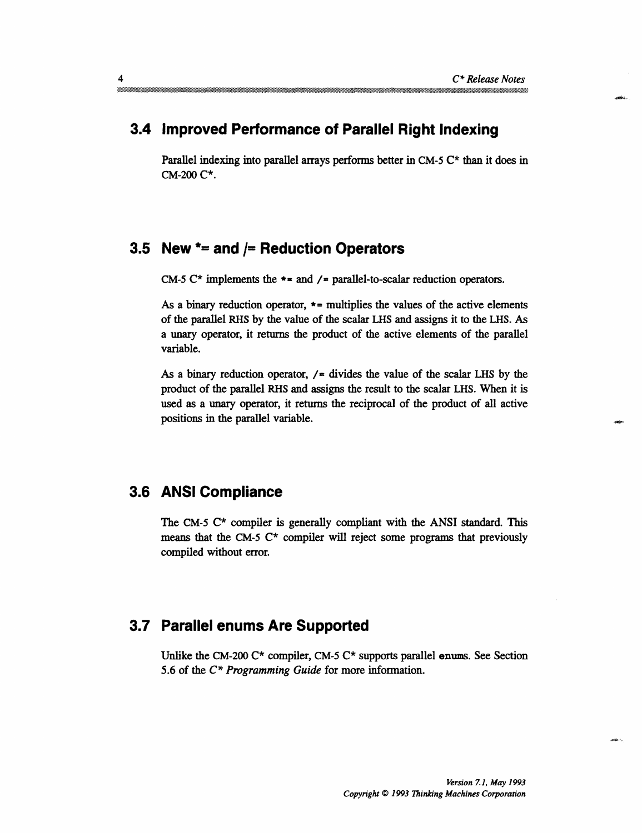#### **3.4 Improved Performance of Parallel Right Indexing**

Parallel indexing into parallel arrays performs better in CM-5  $C^*$  than it does in CM-200 C\*.

#### **3.5 New \*= and /= Reduction Operators**

CM-5 C\* implements the  $\ast$  = and /= parallel-to-scalar reduction operators.

As a binary reduction operator, \*= multiplies the values of the active elements of the parallel RHS by the value of the scalar LHS and assigns it to the LHS. As a unary operator, it returns the product of the active elements of the parallel variable.

As a binary reduction operator,  $/$  = divides the value of the scalar LHS by the product of the parallel RHS and assigns the result to the scalar LHS. When it is used as a unary operator, it returns the reciprocal of the product of all active positions in the parallel variable.

#### **3.6 ANSI Compliance**

The CM-5  $C^*$  compiler is generally compliant with the ANSI standard. This means that the CM-5  $C^*$  compiler will reject some programs that previously compiled without error.

#### **3.7 Parallel enums Are Supported**

Unlike the CM-200  $C^*$  compiler, CM-5  $C^*$  supports parallel enums. See Section 5.6 of the  $C^*$  *Programming Guide* for more information.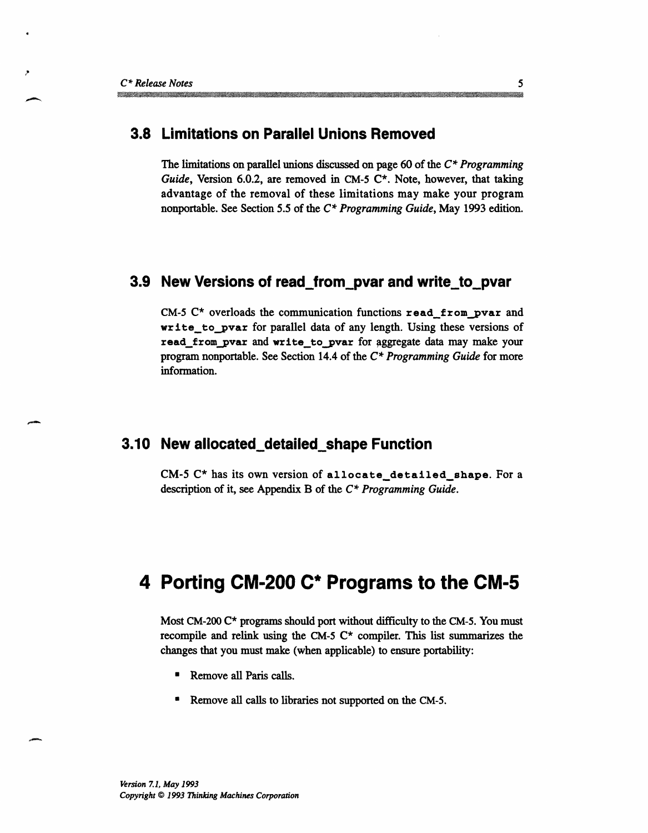#### **3.8 Limitations on Parallel Unions Removed**

The limitations on parallel unions discussed on page 60 of the *C\* Programming Guide,* Version 6.0.2, are removed in CM-5 C\*. Note, however, that taking advantage of the removal of these limitations may make your program nonportable. See Section 5.5 of the *C\* Programming Guide,* May 1993 edition.

#### **3.9 New Versions of read\_from\_pvar and write\_to\_pvar**

CM-5  $C^*$  overloads the communication functions read from pvar and write\_to\_pvar for parallel data of any length. Using these versions of read\_from\_pvar and write\_to\_pvar for aggregate data may make your program nonportable. See Section 14.4 of the *C\* Programming Guide* for more information.

#### **3.10 New allocated\_detailed\_shape Function**

CM-5 C\* has its own version of allocate\_detailed\_shape. For a description of it, see Appendix B of the *C\* Programming Guide.*

# **4 Porting CM-200 C\* Programs to the CM-5**

Most CM-200 C\* programs should port without difficulty to the CM-5. You must recompile and relink using the CM-5  $C^*$  compiler. This list summarizes the changes that you must make (when applicable) to ensure portability:

- **Remove all Paris calls.**
- Remove all calls to libraries not supported on the CM-5.